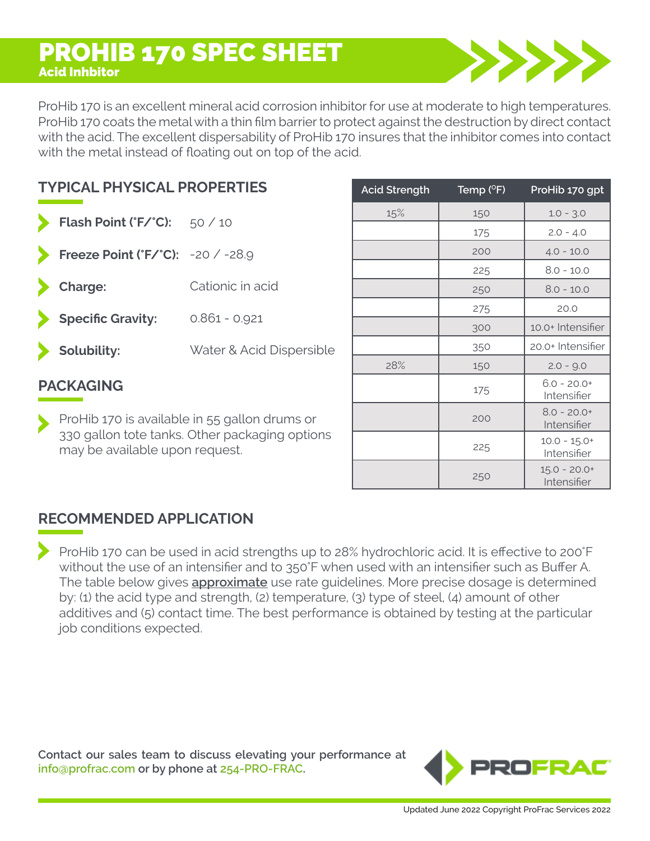## PROHIB 170 SPEC SHEET Acid Inhbitor

ProHib 170 is an excellent mineral acid corrosion inhibitor for use at moderate to high temperatures. ProHib 170 coats the metal with a thin film barrier to protect against the destruction by direct contact with the acid. The excellent dispersability of ProHib 170 insures that the inhibitor comes into contact with the metal instead of floating out on top of the acid.

| <b>TYPICAL PHYSICAL PROPERTIES</b> |                                   |                          |  |  |  |  |
|------------------------------------|-----------------------------------|--------------------------|--|--|--|--|
|                                    | Flash Point ('F/'C): 50 / 10      |                          |  |  |  |  |
|                                    | Freeze Point ('F/'C): -20 / -28.9 |                          |  |  |  |  |
|                                    | > Charge:                         | Cationic in acid         |  |  |  |  |
|                                    | Specific Gravity:                 | $0.861 - 0.921$          |  |  |  |  |
|                                    | Solubility:                       | Water & Acid Dispersible |  |  |  |  |
| <b>PACKAGING</b>                   |                                   |                          |  |  |  |  |

ProHib 170 is available in 55 gallon drums or 330 gallon tote tanks. Other packaging options may be available upon request.

| <b>Acid Strength</b> | Temp $(°F)$ | ProHib 170 gpt                |
|----------------------|-------------|-------------------------------|
| 15%                  | 150         | $1.0 - 3.0$                   |
|                      | 175         | $2.0 - 4.0$                   |
|                      | 200         | $4.0 - 10.0$                  |
|                      | 225         | $8.0 - 10.0$                  |
|                      | 250         | $8.0 - 10.0$                  |
|                      | 275         | 20.0                          |
|                      | 300         | 10.0+ Intensifier             |
|                      | 350         | 20.0+ Intensifier             |
| 28%                  | 150         | $2.0 - 9.0$                   |
|                      | 175         | $6.0 - 20.0+$<br>Intensifier  |
|                      | 200         | $8.0 - 20.0+$<br>Intensifier  |
|                      | 225         | $10.0 - 15.0+$<br>Intensifier |
|                      | 250         | $15.0 - 20.0+$<br>Intensifier |

## **RECOMMENDED APPLICATION**

ProHib 170 can be used in acid strengths up to 28% hydrochloric acid. It is effective to 200°F without the use of an intensifier and to 350°F when used with an intensifier such as Buffer A. The table below gives **approximate** use rate guidelines. More precise dosage is determined by: (1) the acid type and strength, (2) temperature, (3) type of steel, (4) amount of other additives and (5) contact time. The best performance is obtained by testing at the particular job conditions expected.

**Contact our sales team to discuss elevating your performance at info@profrac.com or by phone at 254-PRO-FRAC.** 

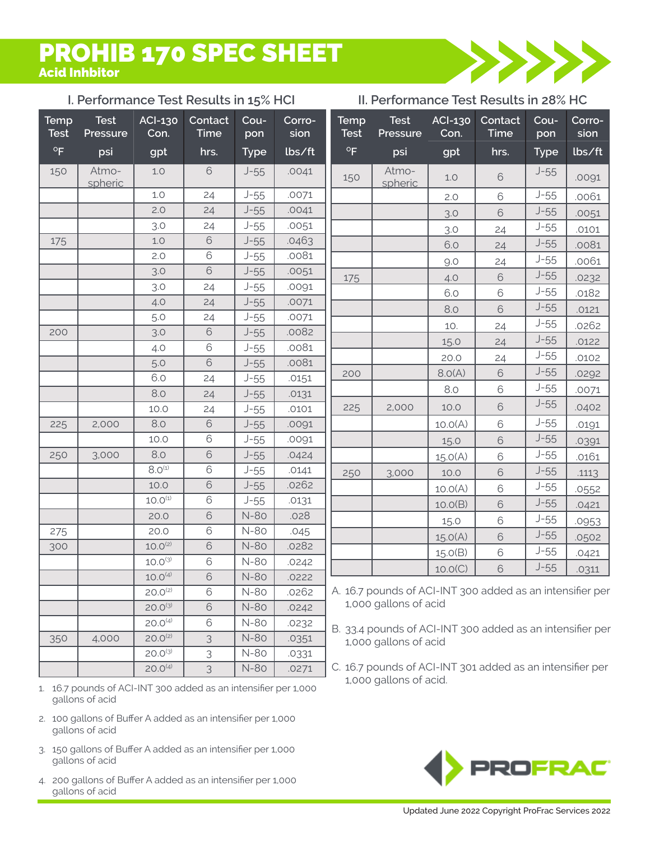## PROHIB 170 SPEC SHEET Acid Inhbitor

### **I. Performance Test Results in 15% HCI II. Performance Test Results in 28% HC**



|                            | <u>i. Periormance Test Results in 15% fict</u> |                        |                         |             |                |                            | II. Performance Test Results III 20% NC                                            |                        |                        |             |                |
|----------------------------|------------------------------------------------|------------------------|-------------------------|-------------|----------------|----------------------------|------------------------------------------------------------------------------------|------------------------|------------------------|-------------|----------------|
| <b>Temp</b><br><b>Test</b> | <b>Test</b><br>Pressure                        | <b>ACI-130</b><br>Con. | Contact<br>Time         | Cou-<br>pon | Corro-<br>sion | <b>Temp</b><br><b>Test</b> | <b>Test</b><br>Pressure                                                            | <b>ACI-130</b><br>Con. | Contact<br><b>Time</b> | Cou-<br>pon | Corro-<br>sion |
| $\mathsf{o}_{\mathsf{F}}$  | psi                                            | gpt                    | hrs.                    | <b>Type</b> | lbs/ft         | $^{\circ}$ F               | psi                                                                                | gpt                    | hrs.                   | <b>Type</b> | lbs/ft         |
| 150                        | Atmo-<br>spheric                               | 1.0                    | $\mathbf 6$             | $J-55$      | .0041          | 150                        | Atmo-<br>spheric                                                                   | $1.0$                  | $\mathbf 6$            | $J-55$      | .0091          |
|                            |                                                | 1.0                    | 24                      | $J-55$      | .0071          |                            |                                                                                    | 2.0                    | 6                      | $J-55$      | .0061          |
|                            |                                                | 2.0                    | 24                      | $J-55$      | .0041          |                            |                                                                                    | 3.0                    | 6                      | $J-55$      | .0051          |
|                            |                                                | 3.0                    | 24                      | $J-55$      | .0051          |                            |                                                                                    | 3.0                    | 24                     | $J-55$      | .0101          |
| 175                        |                                                | $1.0$                  | $\mathsf{\mathfrak{S}}$ | $J-55$      | .0463          |                            |                                                                                    | 6.0                    | 24                     | $J-55$      | .0081          |
|                            |                                                | 2.0                    | $\mathbf 6$             | $J-55$      | .0081          |                            |                                                                                    | 9.0                    | 24                     | $J-55$      | .0061          |
|                            |                                                | 3.0                    | 6                       | $J-55$      | .0051          | 175                        |                                                                                    | 4.0                    | 6                      | $J-55$      | .0232          |
|                            |                                                | 3.0                    | 24                      | $J-55$      | .0091          |                            |                                                                                    | 6.0                    | 6                      | $J-55$      | .0182          |
|                            |                                                | 4.0                    | 24                      | $J-55$      | .0071          |                            |                                                                                    | 8.0                    | 6                      | $J-55$      | .0121          |
|                            |                                                | 5.0                    | 24                      | $J-55$      | .0071          |                            |                                                                                    | 10.                    | 24                     | $J-55$      | .0262          |
| 200                        |                                                | 3.0                    | $\mathbf 6$             | $J-55$      | .0082          |                            |                                                                                    | 15.0                   | 24                     | $J-55$      | .0122          |
|                            |                                                | 4.0                    | 6                       | $J-55$      | .0081          |                            |                                                                                    | 20.0                   | 24                     | $J-55$      | .0102          |
|                            |                                                | 5.0                    | 6                       | $J-55$      | .0081          |                            |                                                                                    | 8.0(A)                 | 6                      | $J-55$      |                |
|                            |                                                | 6.0                    | 24                      | $J-55$      | .0151          | 200                        |                                                                                    |                        |                        | $J-55$      | .0292          |
|                            |                                                | 8.0                    | 24                      | $J-55$      | .0131          |                            |                                                                                    | 8.0                    | $\mathbf 6$            |             | .0071          |
|                            |                                                | 10.0                   | 24                      | $J-55$      | .0101          | 225                        | 2,000                                                                              | 10.0                   | 6                      | $J-55$      | .0402          |
| 225                        | 2,000                                          | 8.0                    | $\mathbf 6$             | $J-55$      | .0091          |                            |                                                                                    | 10.0(A)                | 6                      | $J-55$      | .0191          |
|                            |                                                | 10.0                   | 6                       | $J-55$      | .0091          |                            |                                                                                    | 15.0                   | 6                      | $J-55$      | .0391          |
| 250                        | 3,000                                          | 8.0                    | $\mathbf 6$             | $J-55$      | .0424          |                            |                                                                                    | 15.0(A)                | 6                      | $J-55$      | .0161          |
|                            |                                                | $8.0^{(1)}$            | 6                       | $J-55$      | .0141          | 250                        | 3,000                                                                              | 10.0                   | 6                      | $J-55$      | .1113          |
|                            |                                                | 10.0                   | $\mathsf{\mathfrak{S}}$ | $J-55$      | .0262          |                            |                                                                                    | 10.0(A)                | 6                      | $J-55$      | .0552          |
|                            |                                                | $10.0^{(1)}$           | 6                       | $J-55$      | .0131          |                            |                                                                                    | 10.0(B)                | 6                      | $J-55$      | .0421          |
|                            |                                                | 20.0                   | $\mathbf 6$             | N-80        | .028           |                            |                                                                                    | 15.0                   | 6                      | $J-55$      | .0953          |
| 275                        |                                                | 20.0                   | 6                       | N-80        | .045           |                            |                                                                                    | 15.0(A)                | 6                      | $J-55$      | .0502          |
| 300                        |                                                | $10.0^{(2)}$           | $\mathbf 6$             | N-80        | .0282          |                            |                                                                                    | 15.0(B)                | $\mathbf 6$            | $J-55$      | .0421          |
|                            |                                                | $10.0^{(3)}$           | $\mathbf 6$             | N-80        | .0242          |                            |                                                                                    | 10.0(C)                | 6                      | $J-55$      | .0311          |
|                            |                                                | $10.0^{(4)}$           | 6                       | N-80        | .0222          |                            |                                                                                    |                        |                        |             |                |
|                            |                                                | $20.0^{(2)}$           | 6                       | N-80        | .0262          |                            | A. 16.7 pounds of ACI-INT 300 added as an intensifier per<br>1,000 gallons of acid |                        |                        |             |                |
|                            |                                                | $20.0^{(3)}$           | 6                       | N-80        | .0242          |                            |                                                                                    |                        |                        |             |                |
|                            |                                                | $20.0^{(4)}$           | 6                       | N-80        | .0232          |                            | B. 33.4 pounds of ACI-INT 300 added as an intensifier per                          |                        |                        |             |                |
| 350                        | 4,000                                          | $20.0^{(2)}$           | 3                       | N-80        | .0351          |                            | 1,000 gallons of acid                                                              |                        |                        |             |                |
|                            |                                                | $20.0^{(3)}$           | 3                       | N-80        | .0331          |                            |                                                                                    |                        |                        |             |                |

- 16.7 pounds of ACI-INT 300 added as an intensifier per 1,000 1. gallons of acid
- 100 gallons of Buffer A added as an intensifier per 1,000 2. gallons of acid
- 150 gallons of Buffer A added as an intensifier per 1,000 3. gallons of acid
- 200 gallons of Buffer A added as an intensifier per 1,000 4.gallons of acid
- 33.4 pounds of ACI-INT 300 added as an intensifier per
- $20.0^{4}$  | 3 | N-80 | .0271 | C. 16.7 pounds of ACI-INT 301 added as an intensifier per 1,000 gallons of acid.